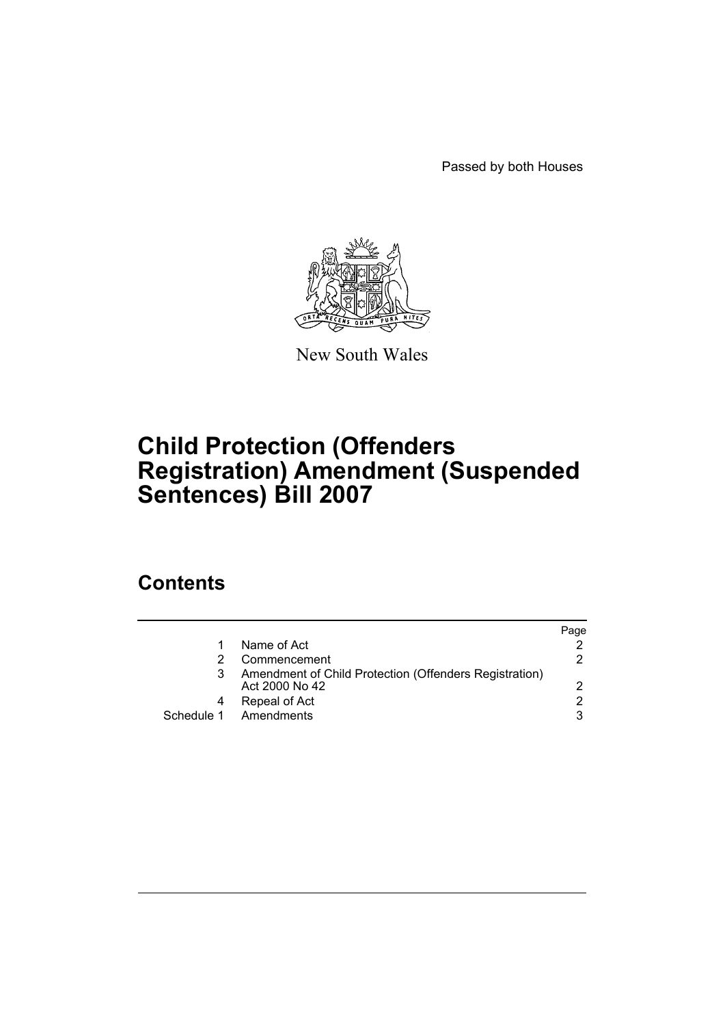Passed by both Houses



New South Wales

# **Child Protection (Offenders Registration) Amendment (Suspended Sentences) Bill 2007**

## **Contents**

|                                                                          | Page          |
|--------------------------------------------------------------------------|---------------|
| Name of Act                                                              |               |
| Commencement                                                             | 2             |
| Amendment of Child Protection (Offenders Registration)<br>Act 2000 No 42 | $\mathcal{P}$ |
| Repeal of Act                                                            | 2             |
| Schedule 1 Amendments                                                    | 3             |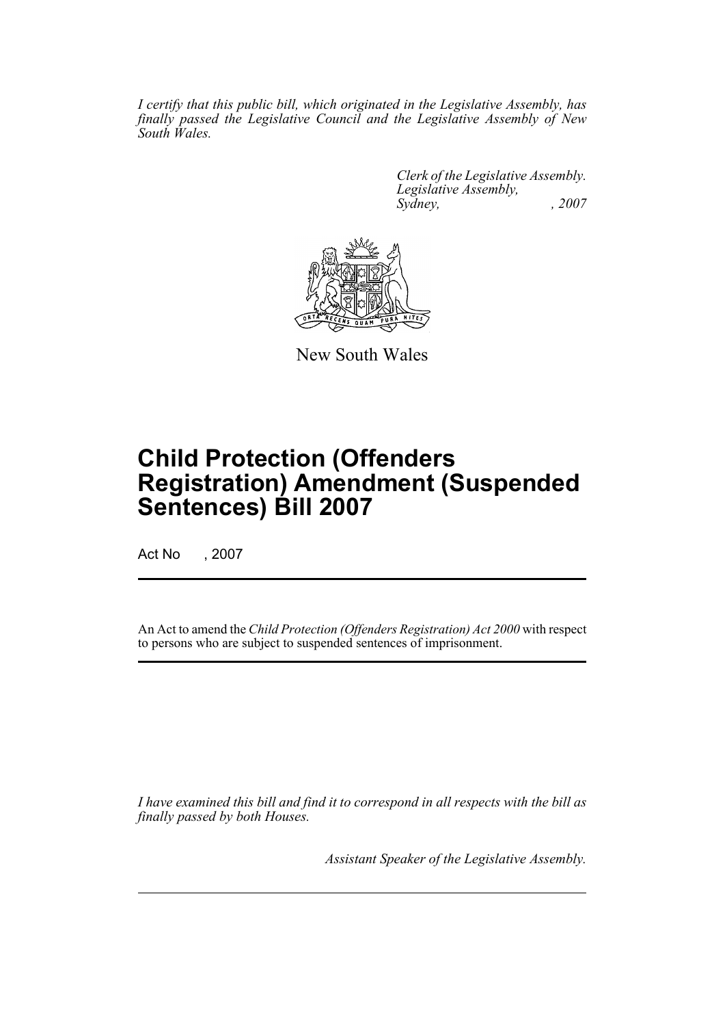*I certify that this public bill, which originated in the Legislative Assembly, has finally passed the Legislative Council and the Legislative Assembly of New South Wales.*

> *Clerk of the Legislative Assembly. Legislative Assembly, Sydney, , 2007*



New South Wales

# **Child Protection (Offenders Registration) Amendment (Suspended Sentences) Bill 2007**

Act No , 2007

An Act to amend the *Child Protection (Offenders Registration) Act 2000* with respect to persons who are subject to suspended sentences of imprisonment.

*I have examined this bill and find it to correspond in all respects with the bill as finally passed by both Houses.*

*Assistant Speaker of the Legislative Assembly.*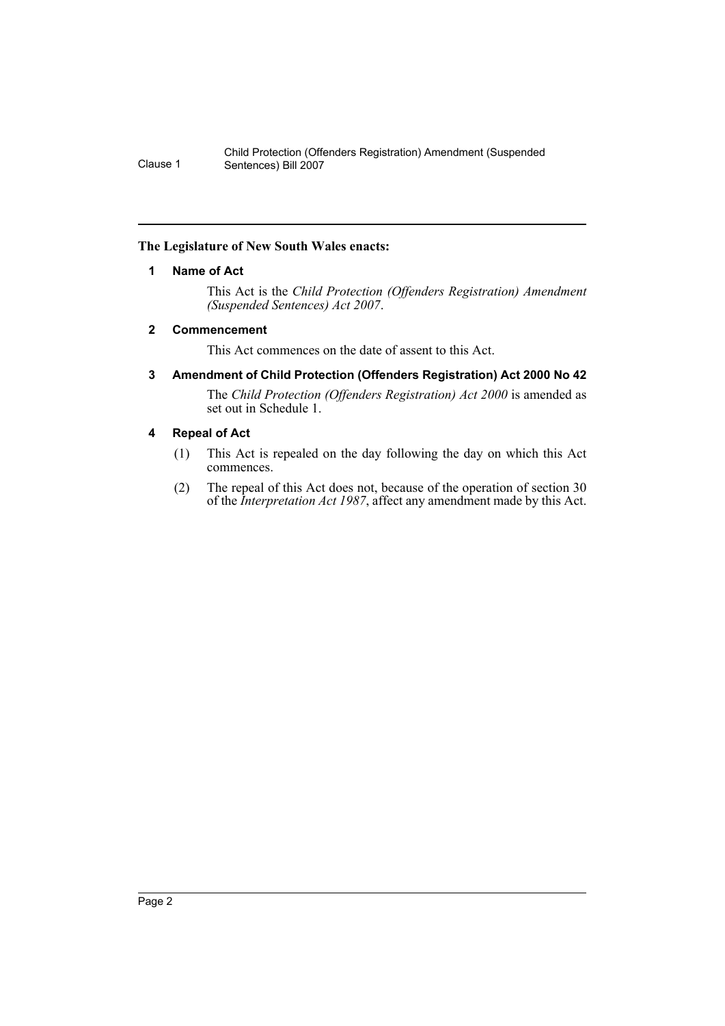#### <span id="page-2-0"></span>**The Legislature of New South Wales enacts:**

#### **1 Name of Act**

This Act is the *Child Protection (Offenders Registration) Amendment (Suspended Sentences) Act 2007*.

#### <span id="page-2-1"></span>**2 Commencement**

This Act commences on the date of assent to this Act.

#### <span id="page-2-2"></span>**3 Amendment of Child Protection (Offenders Registration) Act 2000 No 42**

The *Child Protection (Offenders Registration) Act 2000* is amended as set out in Schedule 1.

#### <span id="page-2-3"></span>**4 Repeal of Act**

- (1) This Act is repealed on the day following the day on which this Act commences.
- (2) The repeal of this Act does not, because of the operation of section 30 of the *Interpretation Act 1987*, affect any amendment made by this Act.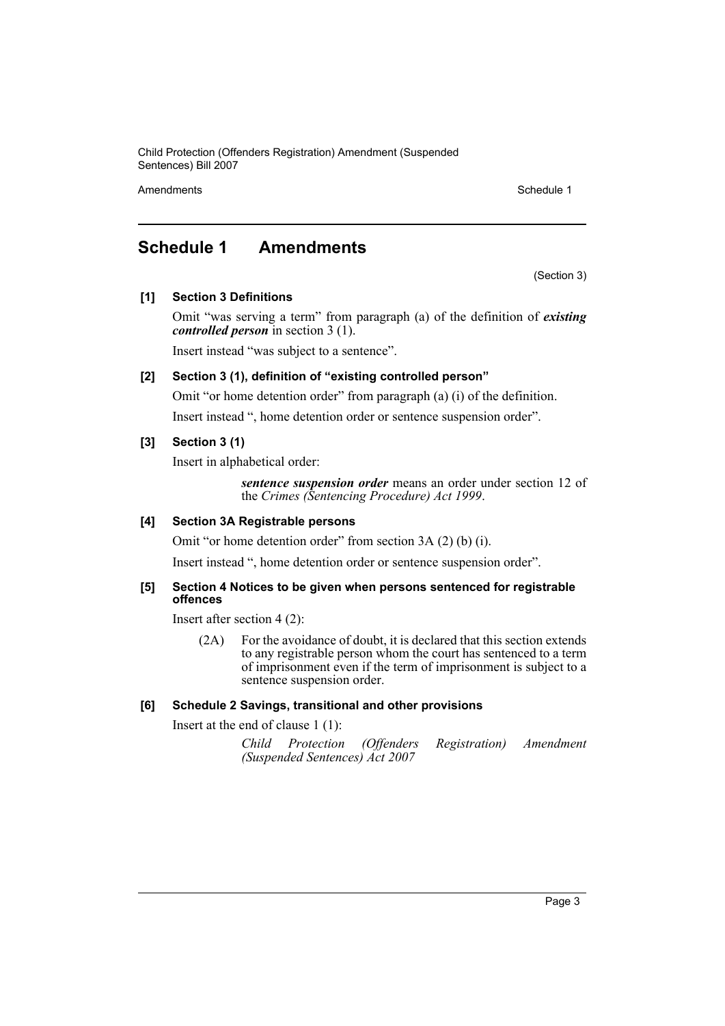Child Protection (Offenders Registration) Amendment (Suspended Sentences) Bill 2007

Amendments **Schedule 1** and the set of the set of the set of the set of the set of the set of the set of the set of the set of the set of the set of the set of the set of the set of the set of the set of the set of the set

### <span id="page-3-0"></span>**Schedule 1 Amendments**

(Section 3)

**[1] Section 3 Definitions**

Omit "was serving a term" from paragraph (a) of the definition of *existing controlled person* in section 3 (1).

Insert instead "was subject to a sentence".

#### **[2] Section 3 (1), definition of "existing controlled person"**

Omit "or home detention order" from paragraph (a) (i) of the definition. Insert instead ", home detention order or sentence suspension order".

#### **[3] Section 3 (1)**

Insert in alphabetical order:

*sentence suspension order* means an order under section 12 of the *Crimes (Sentencing Procedure) Act 1999*.

#### **[4] Section 3A Registrable persons**

Omit "or home detention order" from section 3A (2) (b) (i).

Insert instead ", home detention order or sentence suspension order".

#### **[5] Section 4 Notices to be given when persons sentenced for registrable offences**

Insert after section 4 (2):

(2A) For the avoidance of doubt, it is declared that this section extends to any registrable person whom the court has sentenced to a term of imprisonment even if the term of imprisonment is subject to a sentence suspension order.

#### **[6] Schedule 2 Savings, transitional and other provisions**

Insert at the end of clause 1 (1):

```
Child Protection (Offenders Registration) Amendment
(Suspended Sentences) Act 2007
```